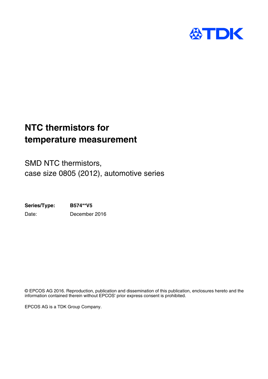

## **NTC thermistors for temperature measurement**

SMD NTC thermistors, case size 0805 (2012), automotive series

**Series/Type: B574\*\*V5** Date: December 2016

© EPCOS AG 2016. Reproduction, publication and dissemination of this publication, enclosures hereto and the information contained therein without EPCOS' prior express consent is prohibited.

EPCOS AG is a TDK Group Company.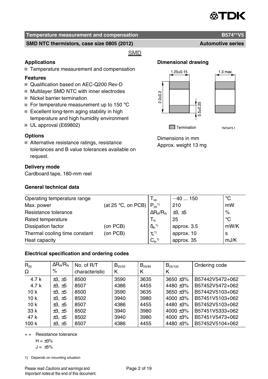

#### **SMD NTC thermistors, case size 0805 (2012) Automotive series** Automotive series

**SMD** 

#### **Applications**

■ Temperature measurement and compensation

#### **Features**

- Qualification based on AEC-Q200 Rev-D
- Multilayer SMD NTC with inner electrodes
- Nickel barrier termination
- For temperature measurement up to 150  $^{\circ}$ C
- $\blacksquare$  Excellent long-term aging stability in high temperature and high humidity environment
- UL approval (E69802)

#### **Options**

Alternative resistance ratings, resistance tolerances and B value tolerances available on request.

#### **Delivery mode**

Cardboard tape, 180-mm reel

#### **General technical data**

### **Dimensional drawing**



TNT0473-1

Dimensions in mm Approx. weight 13 mg

| Operating temperature range   |                             | $\mathsf{I}_{\mathsf{op}}$   | $-40150$       | °C          |
|-------------------------------|-----------------------------|------------------------------|----------------|-------------|
| Max. power                    | (at 25 $\degree$ C, on PCB) | $P_{25}^{1}$                 | 210            | mW          |
| Resistance tolerance          |                             | $\Delta R_{\rm B}/R_{\rm B}$ | $\pm 3, \pm 5$ | $\%$        |
| Rated temperature             |                             | Т <sub>в</sub>               | 25             | $^{\circ}C$ |
| Dissipation factor            | (on PCB)                    | $\delta_{\text{th}}^{(1)}$   | approx. 3.5    | mW/K        |
| Thermal cooling time constant | (on PCB)                    | $\tau_c^{-1}$                | approx. 10     | -S          |
| Heat capacity                 |                             | $C_{th}^{1}$                 | approx. 35     | mJ/K        |

#### **Electrical specification and ordering codes**

| $R_{25}$        | $\Delta R_{\rm B}/R_{\rm B}$ | No. of R/T     | $B_{25/50}$ | $B_{25/85}$ | $B_{25/100}$  | Ordering code   |
|-----------------|------------------------------|----------------|-------------|-------------|---------------|-----------------|
| Ω               | $\%$                         | characteristic | Κ           | Κ           | к             |                 |
| 4.7k            | $\pm 3, \pm 5$               | 8500           | 3590        | 3635        | $3650 + 3%$   | B57442V5472+062 |
| 4.7k            | $\pm 3, \pm 5$               | 8507           | 4386        | 4455        | 4480 ±3%      | B57452V5472+062 |
| 10 <sub>k</sub> | $\pm 3, \pm 5$               | 8500           | 3590        | 3635        | $3650 + 3%$   | B57442V5103+062 |
| 10k             | $\pm 3, \pm 5$               | 8502           | 3940        | 3980        | $4000 + 3%$   | B57451V5103+062 |
| 10k             | $\pm 3, \pm 5$               | 8507           | 4386        | 4455        | 4480 $\pm$ 3% | B57452V5103+062 |
| 33 k            | $\pm 3, \pm 5$               | 8502           | 3940        | 3980        | 4000 ±3%      | B57451V5333+062 |
| 47 k            | $\pm 3, \pm 5$               | 8502           | 3940        | 3980        | $4000 + 3%$   | B57451V5473+062 |
| 100 k           | $\pm 3, \pm 5$               | 8507           | 4386        | 4455        | 4480 $\pm$ 3% | B57452V5104+062 |

 $+=$  Resistance tolerance

$$
H=\pm 3\%
$$

 $J = \pm 5\%$ 

1) Depends on mounting situation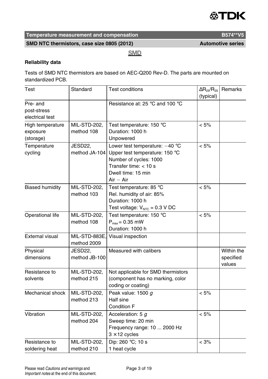

SMD NTC thermistors, case size 0805 (2012) **Automotive series** 

**SMD** 

#### **Reliability data**

Tests of SMD NTC thermistors are based on AEC-Q200 Rev-D. The parts are mounted on standardized PCB.

| Test                                       | Standard                     | <b>Test conditions</b>                                                                                                                                       | $\Delta$ R <sub>25</sub> /R <sub>25</sub><br>(typical) | Remarks                           |
|--------------------------------------------|------------------------------|--------------------------------------------------------------------------------------------------------------------------------------------------------------|--------------------------------------------------------|-----------------------------------|
| Pre- and<br>post-stress<br>electrical test |                              | Resistance at: 25 °C and 100 °C                                                                                                                              |                                                        |                                   |
| High temperature<br>exposure<br>(storage)  | MIL-STD-202,<br>method 108   | Test temperature: 150 °C<br>Duration: 1000 h<br>Unpowered                                                                                                    | $< 5\%$                                                |                                   |
| Temperature<br>cycling                     | JESD22,<br>method JA-104     | Lower test temperature: $-40$ °C<br>Upper test temperature: 150 °C<br>Number of cycles: 1000<br>Transfer time: $<$ 10 s<br>Dwell time: 15 min<br>$Air - Air$ | $< 5\%$                                                |                                   |
| <b>Biased humidity</b>                     | MIL-STD-202,<br>method 103   | Test temperature: 85 °C<br>Rel. humidity of air: 85%<br>Duration: 1000 h<br>Test voltage: $V_{NTC} = 0.3 V DC$                                               | < 5%                                                   |                                   |
| Operational life                           | MIL-STD-202,<br>method 108   | Test temperature: 150 °C<br>$P_{max}$ = 0.35 mW<br>Duration: 1000 h                                                                                          | $< 5\%$                                                |                                   |
| <b>External visual</b>                     | MIL-STD-883E.<br>method 2009 | Visual inspection                                                                                                                                            |                                                        |                                   |
| Physical<br>dimensions                     | JESD22.<br>method JB-100     | Measured with calibers                                                                                                                                       |                                                        | Within the<br>specified<br>values |
| Resistance to<br>solvents                  | MIL-STD-202,<br>method 215   | Not applicable for SMD thermistors<br>(component has no marking, color<br>coding or coating)                                                                 |                                                        |                                   |
| Mechanical shock                           | MIL-STD-202,<br>method 213   | Peak value: 1500 g<br>Half sine<br>Condition F                                                                                                               | $< 5\%$                                                |                                   |
| Vibration                                  | MIL-STD-202,<br>method 204   | Acceleration: 5 g<br>Sweep time: 20 min<br>Frequency range: 10  2000 Hz<br>$3 \times 12$ cycles                                                              | $< 5\%$                                                |                                   |
| Resistance to<br>soldering heat            | MIL-STD-202,<br>method 210   | Dip: 260 °C; 10 s<br>1 heat cycle                                                                                                                            | $< 3\%$                                                |                                   |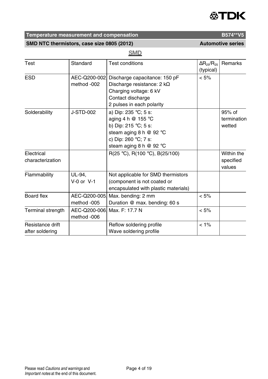## **ATDK**

## **Temperature measurement and compensation B574\*\*V5**

SMD NTC thermistors, case size 0805 (2012) **Automotive series** 

## **SMD**

| Test              | Standard       | <b>Test conditions</b>                 | $\Delta$ R <sub>25</sub> /R <sub>25</sub> | Remarks     |
|-------------------|----------------|----------------------------------------|-------------------------------------------|-------------|
|                   |                |                                        | (typical)                                 |             |
| <b>ESD</b>        | AEC-Q200-002.  | Discharge capacitance: 150 pF          | $< 5\%$                                   |             |
|                   | method -002    | Discharge resistance: 2 $k\Omega$      |                                           |             |
|                   |                | Charging voltage: 6 kV                 |                                           |             |
|                   |                | Contact discharge                      |                                           |             |
|                   |                | 2 pulses in each polarity              |                                           |             |
| Solderability     | J-STD-002      | a) Dip: 235 °C; 5 s:                   |                                           | 95% of      |
|                   |                | aging 4 h $@$ 155 °C                   |                                           | termination |
|                   |                | b) Dip: 215 $^{\circ}$ C; 5 s:         |                                           | wetted      |
|                   |                | steam aging 8 h $@$ 92 °C              |                                           |             |
|                   |                | c) Dip: 260 $^{\circ}$ C; 7 s:         |                                           |             |
|                   |                | steam aging 8 h $@$ 92 °C              |                                           |             |
| Electrical        |                | $R(25 °C)$ , $R(100 °C)$ , $B(25/100)$ |                                           | Within the  |
| characterization  |                |                                        |                                           | specified   |
|                   |                |                                        |                                           | values      |
| Flammability      | UL-94,         | Not applicable for SMD thermistors     |                                           |             |
|                   | $V-0$ or $V-1$ | (component is not coated or            |                                           |             |
|                   |                | encapsulated with plastic materials)   |                                           |             |
| <b>Board flex</b> | AEC-Q200-005.  | Max. bending: 2 mm                     | $< 5\%$                                   |             |
|                   | method -005    | Duration @ max. bending: 60 s          |                                           |             |
| Terminal strength |                | AEC-Q200-006, Max. F: 17.7 N           | $< 5\%$                                   |             |
|                   | method -006    |                                        |                                           |             |
| Resistance drift  |                | Reflow soldering profile               | $< 1\%$                                   |             |
| after soldering   |                | Wave soldering profile                 |                                           |             |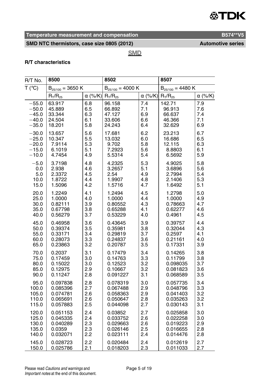## **ATDK**

## **Temperature measurement and compensation B574\*\*V5**

## SMD NTC thermistors, case size 0805 (2012) **Automotive series**

**SMD** 

#### **R/T characteristics**

| R/T No. | 8500                  |                | 8502                  |                | 8507                  |                |
|---------|-----------------------|----------------|-----------------------|----------------|-----------------------|----------------|
| T (°C)  | $B_{25/100} = 3650 K$ |                | $B_{25/100} = 4000 K$ |                | $B_{25/100} = 4480 K$ |                |
|         | $R_T/R_{25}$          | $\alpha$ (%/K) | $R_{T}/R_{25}$        | $\alpha$ (%/K) | $R_T/R_{25}$          | $\alpha$ (%/K) |
| $-55.0$ | 63.917                | 6.8            | 96.158                | 7.4            | 142.71                | 7.9            |
| $-50.0$ | 45.889                | 6.5            | 66.892                | 7.1            | 96.913                | 7.6            |
| $-45.0$ | 33.344                | 6.3            | 47.127                | 6.9            | 66.637                | 7.4            |
| $-40.0$ | 24.504                | 6.1            | 33.606                | 6.6            | 46.366                | 7.1            |
| $-35.0$ | 18.201                | 5.8            | 24.243                | 6.4            | 32.629                | 6.9            |
| $-30.0$ | 13.657                | 5.6            | 17.681                | 6.2            | 23.213                | 6.7            |
| $-25.0$ | 10.347                | 5.5            | 13.032                | 6.0            | 16.686                | 6.5            |
| $-20.0$ | 7.9114                | 5.3            | 9.702                 | 5.8            | 12.115                | 6.3            |
| $-15.0$ | 6.1019                | 5.1            | 7.2923                | 5.6            | 8.8803                | 6.1            |
| $-10.0$ | 4.7454                | 4.9            | 5.5314                | 5.4            | 6.5692                | 5.9            |
| $-5.0$  | 3.7198                | 4.8            | 4.2325                | 5.3            | 4.9025                | 5.8            |
| 0.0     | 2.938                 | 4.6            | 3.2657                | 5.1            | 3.6896                | 5.6            |
| 5.0     | 2.3372                | 4.5            | 2.54                  | 4.9            | 2.7994                | 5.4            |
| 10.0    | 1.8722                | 4.4            | 1.9907                | 4.8            | 2.1406                | 5.3            |
| 15.0    | 1.5096                | 4.2            | 1.5716                | 4.7            | 1.6492                | 5.1            |
| 20.0    | 1.2249                | 4.1            | 1.2494                | 4.5            | 1.2798                | 5.0            |
| 25.0    | 1.0000                | 4.0            | 1.0000                | 4.4            | 1.0000                | 4.9            |
| 30.0    | 0.82111               | 3.9            | 0.80552               | 4.3            | 0.78663               | 4.7            |
| 35.0    | 0.67798               | 3.8            | 0.65288               | 4.1            | 0.62277               | 4.6            |
| 40.0    | 0.56279               | 3.7            | 0.53229               | 4.0            | 0.4961                | 4.5            |
| 45.0    | 0.46958               | 3.6            | 0.43645               | 3.9            | 0.39757               | 4.4            |
| 50.0    | 0.39374               | 3.5            | 0.35981               | 3.8            | 0.32044               | 4.3            |
| 55.0    | 0.33171               | 3.4            | 0.29819               | 3.7            | 0.2597                | 4.1            |
| 60.0    | 0.28073               | 3.3            | 0.24837               | 3.6            | 0.21161               | 4.0            |
| 65.0    | 0.23863               | 3.2            | 0.20787               | 3.5            | 0.17331               | 3.9            |
| 70.0    | 0.2037                | 3.1            | 0.17479               | 3.4            | 0.14265               | 3.8            |
| 75.0    | 0.17459               | 3.0            | 0.14763               | 3.3            | 0.11799               | 3.8            |
| 80.0    | 0.15022               | 3.0            | 0.12523               | 3.2            | 0.098035              | 3.7            |
| 85.0    | 0.12975               | 2.9            | 0.10667               | 3.2            | 0.081823              | 3.6            |
| 90.0    | 0.11247               | 2.8            | 0.091227              | 3.1            | 0.068589              | 3.5            |
| 95.0    | 0.097838              | 2.8            | 0.078319              | 3.0            | 0.057735              | 3.4            |
| 100.0   | 0.085396              | 2.7            | 0.067488              | 2.9            | 0.048796              | 3.3            |
| 105.0   | 0.074781              | 2.6            | 0.058363              | 2.9            | 0.041403              | 3.2            |
| 110.0   | 0.065691              | 2.6            | 0.050647              | 2.8            | 0.035263              | 3.2            |
| 115.0   | 0.057883              | 2.5            | 0.044098              | 2.7            | 0.030143              | 3.1            |
| 120.0   | 0.051153              | 2.4            | 0.03852               | 2.7            | 0.025858              | 3.0            |
| 125.0   | 0.045335              | 2.4            | 0.033752              | 2.6            | 0.022258              | 3.0            |
| 130.0   | 0.040289              | 2.3            | 0.029663              | 2.6            | 0.019223              | 2.9            |
| 135.0   | 0.0359                | 2.3            | 0.026146              | 2.5            | 0.016655              | 2.8            |
| 140.0   | 0.032071              | 2.2            | 0.023111              | 2.4            | 0.014476              | 2.8            |
| 145.0   | 0.028723              | 2.2            | 0.020484              | 2.4            | 0.012619              | 2.7            |
| 150.0   | 0.025786              | 2.1            | 0.018203              | 2.3            | 0.011033              | 2.7            |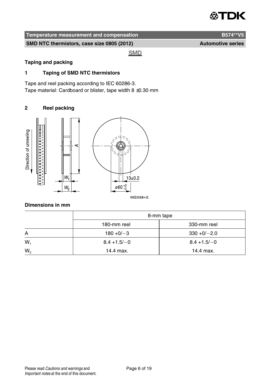

SMD NTC thermistors, case size 0805 (2012) **Automotive series** 

**SMD** 

#### **Taping and packing**

#### **1 Taping of SMD NTC thermistors**

Tape and reel packing according to IEC 60286-3. Tape material: Cardboard or blister, tape width  $8 \pm 0.30$  mm

#### **2 Reel packing**



#### **Dimensions in mm**

|       | 8-mm tape<br>180-mm reel<br>330-mm reel |                |  |  |  |
|-------|-----------------------------------------|----------------|--|--|--|
|       |                                         |                |  |  |  |
| A     | $180 + 0/-3$                            | $330 + 0/-2.0$ |  |  |  |
| $W_1$ | $8.4 + 1.5/-0$                          | $8.4 + 1.5/-0$ |  |  |  |
| $W_2$ | 14.4 max.                               | 14.4 max.      |  |  |  |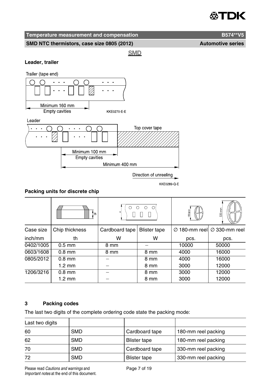## TЭK.

## **Temperature measurement and compensation B574\*\*V5**

SMD NTC thermistors, case size 0805 (2012) **Automotive series** 

**SMD** 

#### **Leader, trailer**



#### **Packing units for discrete chip**

|           | i th             | $\circ$<br>$\circ$<br>$\circ$<br>O. |                     | 180 mm                    | 330 mm                    |
|-----------|------------------|-------------------------------------|---------------------|---------------------------|---------------------------|
| Case size | Chip thickness   | Cardboard tape                      | <b>Blister tape</b> | $\varnothing$ 180-mm reel | $\varnothing$ 330-mm reel |
| inch/mm   | th               | W                                   | w                   | pcs.                      | pcs.                      |
| 0402/1005 | $0.5$ mm         | 8 mm                                |                     | 10000                     | 50000                     |
| 0603/1608 | $0.8$ mm         | 8 mm                                | 8 mm                | 4000                      | 16000                     |
| 0805/2012 | $0.8$ mm         |                                     | 8 mm                | 4000                      | 16000                     |
|           | $1.2 \text{ mm}$ |                                     | 8 mm                | 3000                      | 12000                     |
| 1206/3216 | $0.8$ mm         |                                     | 8 mm                | 3000                      | 12000                     |
|           | $1.2 \text{ mm}$ |                                     | 8 mm                | 3000                      | 12000                     |

### **3 Packing codes**

The last two digits of the complete ordering code state the packing mode:

| Last two digits |            |                     |                     |
|-----------------|------------|---------------------|---------------------|
| 60              | <b>SMD</b> | Cardboard tape      | 180-mm reel packing |
| 62              | <b>SMD</b> | Blister tape        | 180-mm reel packing |
| 70              | <b>SMD</b> | Cardboard tape      | 330-mm reel packing |
| 72              | <b>SMD</b> | <b>Blister tape</b> | 330-mm reel packing |

Please read Cautions and warnings and Page 7 of 19 Important notes at the end of this document.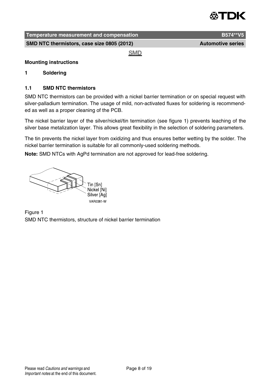

**SMD NTC thermistors, case size 0805 (2012) Automotive series** Automotive series

**SMD** 

#### **Mounting instructions**

#### **1 Soldering**

#### **1.1 SMD NTC thermistors**

SMD NTC thermistors can be provided with a nickel barrier termination or on special request with silver-palladium termination. The usage of mild, non-activated fluxes for soldering is recommended as well as a proper cleaning of the PCB.

The nickel barrier layer of the silver/nickel/tin termination (see figure 1) prevents leaching of the silver base metalization layer. This allows great flexibility in the selection of soldering parameters.

The tin prevents the nickel layer from oxidizing and thus ensures better wetting by the solder. The nickel barrier termination is suitable for all commonly-used soldering methods.

**Note:** SMD NTCs with AgPd termination are not approved for lead-free soldering.

Tin [Sn] Nickel [Ni] Silver [Aq] VAR0381-W

Figure 1 SMD NTC thermistors, structure of nickel barrier termination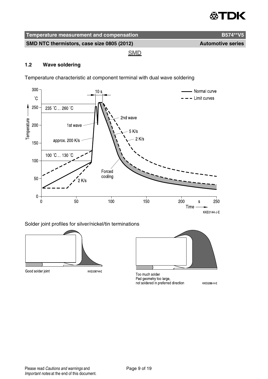## ≪TDK

| Temperature measurement and compensation   | B574**V5                 |
|--------------------------------------------|--------------------------|
| SMD NTC thermistors, case size 0805 (2012) | <b>Automotive series</b> |
| <b>SMD</b>                                 |                          |

### **1.2 Wave soldering**

Temperature characteristic at component terminal with dual wave soldering



#### Solder joint profiles for silver/nickel/tin terminations



Too much solder Pad geometry too large, not soldered in preferred direction **KKE0288 H E** 

Good solder joint

KKE0287-9-E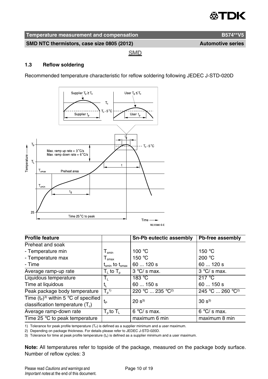## ≪TDK

| Temperature measurement and compensation   | B574**V5                 |
|--------------------------------------------|--------------------------|
| SMD NTC thermistors, case size 0805 (2012) | <b>Automotive series</b> |
| <b>SMD</b>                                 |                          |

#### **1.3 Reflow soldering**

Recommended temperature characteristic for reflow soldering following JEDEC J-STD-020D



| <b>Profile feature</b>                  |                                        | Sn-Pb eutectic assembly      | Pb-free assembly             |
|-----------------------------------------|----------------------------------------|------------------------------|------------------------------|
| Preheat and soak                        |                                        |                              |                              |
| - Temperature min                       | $T_{\sf smin}$                         | 100 $\degree$ C              | 150 $\degree$ C              |
| - Temperature max                       | $\mathsf{I}_{\mathsf{smax}}$           | 150 $\degree$ C              | 200 $\degree$ C              |
| - Time                                  | $t_{\text{smin}}$ to $t_{\text{smax}}$ | 60  120 s                    | 60  120 s                    |
| Average ramp-up rate                    | $T_{L}$ to $T_{R}$                     | $3^{\circ}$ C/s max.         | $3^{\circ}$ C/s max.         |
| Liquidous temperature                   | Т,                                     | 183 °C                       | 217 $\degree$ C              |
| Time at liquidous                       | t,                                     | 60  150 s                    | 60150s                       |
| Peak package body temperature           | $T_p^{(1)}$                            | 220 °C  235 °C <sup>2)</sup> | 245 °C  260 °C <sup>2)</sup> |
| Time $(t_P)^3$ within 5 °C of specified |                                        | $20 s^{3}$                   | $30 s^{3}$                   |
| classification temperature $(T_c)$      | tр                                     |                              |                              |
| Average ramp-down rate                  | $T_{\rm p}$ to $T_{\rm L}$             | $6^{\circ}$ C/ s max.        | $6^{\circ}$ C/ s max.        |
| Time 25 °C to peak temperature          |                                        | maximum 6 min                | maximum 8 min                |

1) Tolerance for peak profile temperature  $(T_P)$  is defined as a supplier minimum and a user maximum.

2) Depending on package thickness. For details please refer to JEDEC J-STD-020D.

3) Tolerance for time at peak profile temperature  $(t_P)$  is defined as a supplier minimum and a user maximum.

**Note:** All temperatures refer to topside of the package, measured on the package body surface. Number of reflow cycles: 3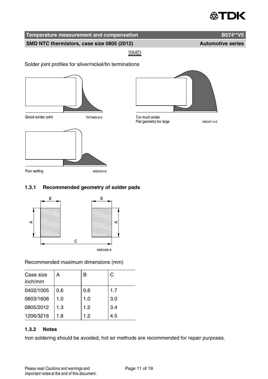## ≪∆TDK

## **Temperature measurement and compensation B574\*\*V5**

SMD NTC thermistors, case size 0805 (2012) **Automotive series** 

**SMD** 

Solder joint profiles for silver/nickel/tin terminations





Too much solder Pad geometry too large

**KKE0071 A E** 



### **1.3.1 Recommended geometry of solder pads**



Recommended maximum dimensions (mm)

| Case size<br>inch/mm | А   | B   | C   |
|----------------------|-----|-----|-----|
| 0402/1005            | 0.6 | 0.6 | 1.7 |
| 0603/1608            | 1.0 | 1.0 | 3.0 |
| 0805/2012            | 1.3 | 1.2 | 3.4 |
| 1206/3216            | 1.8 | 1.2 | 4.5 |

### **1.3.2 Notes**

Iron soldering should be avoided, hot air methods are recommended for repair purposes.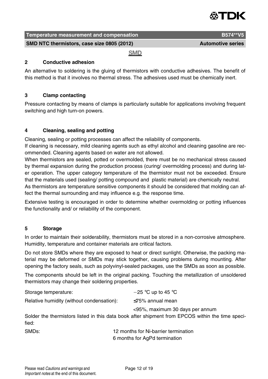

| Temperature measurement and compensation   | B574**V5                 |
|--------------------------------------------|--------------------------|
| SMD NTC thermistors, case size 0805 (2012) | <b>Automotive series</b> |

**SMD** 

#### **2 Conductive adhesion**

An alternative to soldering is the gluing of thermistors with conductive adhesives. The benefit of this method is that it involves no thermal stress. The adhesives used must be chemically inert.

#### **3 Clamp contacting**

Pressure contacting by means of clamps is particularly suitable for applications involving frequent switching and high turn-on powers.

#### **4 Cleaning, sealing and potting**

Cleaning, sealing or potting processes can affect the reliability of components.

If cleaning is necessary, mild cleaning agents such as ethyl alcohol and cleaning gasoline are recommended. Cleaning agents based on water are not allowed.

When thermistors are sealed, potted or overmolded, there must be no mechanical stress caused by thermal expansion during the production process (curing/ overmolding process) and during later operation. The upper category temperature of the thermistor must not be exceeded. Ensure that the materials used (sealing/ potting compound and plastic material) are chemically neutral.

As thermistors are temperature sensitive components it should be considered that molding can affect the thermal surrounding and may influence e.g. the response time.

Extensive testing is encouraged in order to determine whether overmolding or potting influences the functionality and/ or reliability of the component.

#### **5 Storage**

In order to maintain their solderability, thermistors must be stored in a non-corrosive atmosphere. Humidity, temperature and container materials are critical factors.

Do not store SMDs where they are exposed to heat or direct sunlight. Otherwise, the packing material may be deformed or SMDs may stick together, causing problems during mounting. After opening the factory seals, such as polyvinyl-sealed packages, use the SMDs as soon as possible.

The components should be left in the original packing. Touching the metallization of unsoldered thermistors may change their soldering properties.

| Storage temperature:                      | $-25$ °C up to 45 °C                                                                                                                |
|-------------------------------------------|-------------------------------------------------------------------------------------------------------------------------------------|
| Relative humidity (without condensation): | $\leq$ 75% annual mean                                                                                                              |
| fied:                                     | <95%, maximum 30 days per annum<br>Solder the thermistors listed in this data book after shipment from EPCOS within the time speci- |

| SMDs: | 12 months for Ni-barrier termination |  |
|-------|--------------------------------------|--|
|       | 6 months for AgPd termination        |  |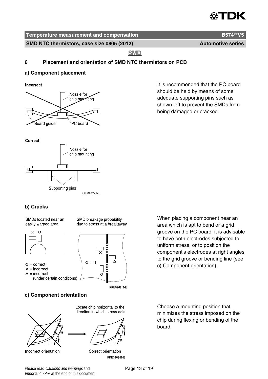

**SMD NTC thermistors, case size 0805 (2012) Automotive series** Automotive series

**SMD** 

#### **6 Placement and orientation of SMD NTC thermistors on PCB**

#### **a) Component placement**

Incorrect



It is recommended that the PC board should be held by means of some adequate supporting pins such as shown left to prevent the SMDs from being damaged or cracked.





## **b) Cracks**

SMDs located near an easily warped area

SMD breakage probability due to stress at a breakaway



- $Q =$  correct
- $x = incorrect$
- $\triangle$  = incorrect
	- (under certain conditions)



KKE0268-3-E

### **c) Component orientation**



Incorrect orientation

Locate chip horizontal to the direction in which stress acts



Correct orientation KKE0269 B E

When placing a component near an area which is apt to bend or a grid groove on the PC board, it is advisable to have both electrodes subjected to uniform stress, or to position the component's electrodes at right angles to the grid groove or bending line (see c) Component orientation).

Choose a mounting position that minimizes the stress imposed on the chip during flexing or bending of the board.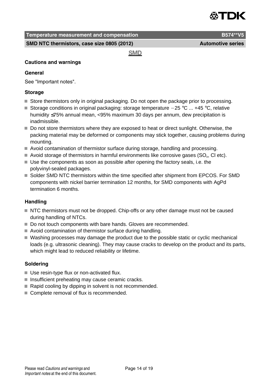

**SMD NTC thermistors, case size 0805 (2012)** Automotive series

**SMD** 

#### **Cautions and warnings**

#### **General**

See "Important notes".

#### **Storage**

- Store thermistors only in original packaging. Do not open the package prior to processing.
- Storage conditions in original packaging: storage temperature  $-25$  °C ... +45 °C, relative humidity ≤75% annual mean, <95% maximum 30 days per annum, dew precipitation is inadmissible.
- Do not store thermistors where they are exposed to heat or direct sunlight. Otherwise, the packing material may be deformed or components may stick together, causing problems during mounting.
- Avoid contamination of thermistor surface during storage, handling and processing.
- Avoid storage of thermistors in harmful environments like corrosive gases (SO<sub>x</sub>, CI etc).
- Use the components as soon as possible after opening the factory seals, i.e. the polyvinyl-sealed packages.
- Solder SMD NTC thermistors within the time specified after shipment from EPCOS. For SMD components with nickel barrier termination 12 months, for SMD components with AgPd termination 6 months.

#### **Handling**

- NTC thermistors must not be dropped. Chip-offs or any other damage must not be caused during handling of NTCs.
- Do not touch components with bare hands. Gloves are recommended.
- Avoid contamination of thermistor surface during handling.
- Washing processes may damage the product due to the possible static or cyclic mechanical loads (e.g. ultrasonic cleaning). They may cause cracks to develop on the product and its parts, which might lead to reduced reliability or lifetime.

#### **Soldering**

- Use resin-type flux or non-activated flux.
- $\blacksquare$  Insufficient preheating may cause ceramic cracks.
- Rapid cooling by dipping in solvent is not recommended.
- Complete removal of flux is recommended.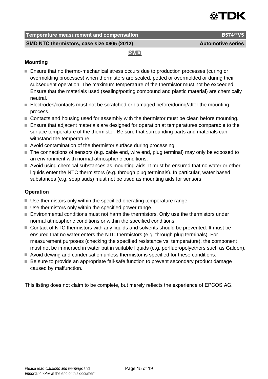

**SMD NTC thermistors, case size 0805 (2012)** Automotive series

#### **SMD**

### **Mounting**

- **Ensure that no thermo-mechanical stress occurs due to production processes (curing or** overmolding processes) when thermistors are sealed, potted or overmolded or during their subsequent operation. The maximum temperature of the thermistor must not be exceeded. Ensure that the materials used (sealing/potting compound and plastic material) are chemically neutral.
- Electrodes/contacts must not be scratched or damaged before/during/after the mounting process.
- Contacts and housing used for assembly with the thermistor must be clean before mounting.
- Ensure that adjacent materials are designed for operation at temperatures comparable to the surface temperature of the thermistor. Be sure that surrounding parts and materials can withstand the temperature.
- Avoid contamination of the thermistor surface during processing.
- The connections of sensors (e.g. cable end, wire end, plug terminal) may only be exposed to an environment with normal atmospheric conditions.
- Avoid using chemical substances as mounting aids. It must be ensured that no water or other liquids enter the NTC thermistors (e.g. through plug terminals). In particular, water based substances (e.g. soap suds) must not be used as mounting aids for sensors.

### **Operation**

- Use thermistors only within the specified operating temperature range.
- Use thermistors only within the specified power range.
- Environmental conditions must not harm the thermistors. Only use the thermistors under normal atmospheric conditions or within the specified conditions.
- Contact of NTC thermistors with any liquids and solvents should be prevented. It must be ensured that no water enters the NTC thermistors (e.g. through plug terminals). For measurement purposes (checking the specified resistance vs. temperature), the component must not be immersed in water but in suitable liquids (e.g. perfluoropolyethers such as Galden).
- Avoid dewing and condensation unless thermistor is specified for these conditions.
- Be sure to provide an appropriate fail-safe function to prevent secondary product damage caused by malfunction.

This listing does not claim to be complete, but merely reflects the experience of EPCOS AG.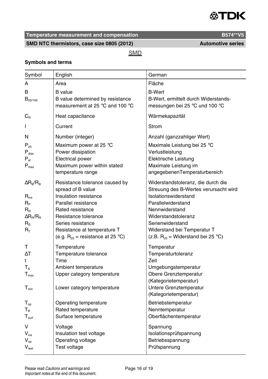

SMD NTC thermistors, case size 0805 (2012) **Automotive series** 

**SMD** 

#### **Symbols and terms**

| Symbol                                                                                                                                       | English                                                                                                                                                                                                                                      | German                                                                                                                                                                                                                                                          |
|----------------------------------------------------------------------------------------------------------------------------------------------|----------------------------------------------------------------------------------------------------------------------------------------------------------------------------------------------------------------------------------------------|-----------------------------------------------------------------------------------------------------------------------------------------------------------------------------------------------------------------------------------------------------------------|
| A                                                                                                                                            | Area                                                                                                                                                                                                                                         | Fläche                                                                                                                                                                                                                                                          |
| в<br>$B_{25/100}$                                                                                                                            | <b>B</b> value<br>B value determined by resistance<br>measurement at 25 $\degree$ C and 100 $\degree$ C                                                                                                                                      | <b>B-Wert</b><br>B-Wert, ermittelt durch Widerstands-<br>messungen bei 25 °C und 100 °C                                                                                                                                                                         |
| $C_{\text{th}}$                                                                                                                              | Heat capacitance                                                                                                                                                                                                                             | Wärmekapazität                                                                                                                                                                                                                                                  |
| L                                                                                                                                            | Current                                                                                                                                                                                                                                      | Strom                                                                                                                                                                                                                                                           |
| N                                                                                                                                            | Number (integer)                                                                                                                                                                                                                             | Anzahl (ganzzahliger Wert)                                                                                                                                                                                                                                      |
| $P_{25}$<br>$\mathsf{P}_{\mathsf{diss}}$<br>$\mathsf{P}_{\mathsf{el}}$<br>$P_{\text{max}}$                                                   | Maximum power at 25 °C<br>Power dissipation<br>Electrical power<br>Maximum power within stated<br>temperature range                                                                                                                          | Maximale Leistung bei 25 °C<br>Verlustleistung<br>Elektrische Leistung<br>Maximale Leistung im<br>angegebenenTemperaturbereich                                                                                                                                  |
| $\Delta$ R <sub>R</sub> /R <sub>R</sub><br>$R_{ins}$<br>$R_{\rm p}$<br>$R_{R}$<br>$\Delta R_B/R_B$<br>$R_{\rm s}$<br>$\mathsf{R}_\mathsf{T}$ | Resistance tolerance caused by<br>spread of B value<br>Insulation resistance<br>Parallel resistance<br>Rated resistance<br>Resistance tolerance<br>Series resistance<br>Resistance at temperature T<br>(e.g. $R_{25}$ = resistance at 25 °C) | Widerstandstoleranz, die durch die<br>Streuung des B-Wertes verursacht wird<br>Isolationswiderstand<br>Parallelwiderstand<br>Nennwiderstand<br>Widerstandstoleranz<br>Serienwiderstand<br>Widerstand bei Temperatur T<br>(z.B. $R_{25}$ = Widerstand bei 25 °C) |
| т<br>ΔT<br>t<br>$T_A$<br>$T_{max}$<br>$T_{min}$                                                                                              | Temperature<br>Temperature tolerance<br>Time<br>Ambient temperature<br>Upper category temperature<br>Lower category temperature                                                                                                              | Temperatur<br>Temperaturtoleranz<br>Zeit<br>Umgebungstemperatur<br>Obere Grenztemperatur<br>(Kategorietemperatur)<br>Untere Grenztemperatur<br>(Kategorietemperatur)                                                                                            |
| $T_{op}$<br>$T_R$<br>$T_{surf}$                                                                                                              | Operating temperature<br>Rated temperature<br>Surface temperature                                                                                                                                                                            | Betriebstemperatur<br>Nenntemperatur<br>Oberflächentemperatur                                                                                                                                                                                                   |
| v<br>$V_{ins}$<br>$\mathsf{V}_{\mathsf{op}}$<br>$V_{test}$                                                                                   | Voltage<br>Insulation test voltage<br>Operating voltage<br>Test voltage                                                                                                                                                                      | Spannung<br>Isolationsprüfspannung<br>Betriebsspannung<br>Prüfspannung                                                                                                                                                                                          |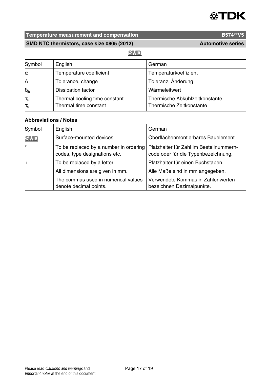

SMD NTC thermistors, case size 0805 (2012) **Automotive series** 

## **SMD**

| Symbol                           | English                                                | German                                                     |
|----------------------------------|--------------------------------------------------------|------------------------------------------------------------|
| $\alpha$                         | Temperature coefficient                                | Temperaturkoeffizient                                      |
| $\Lambda$                        | Tolerance, change                                      | Toleranz, Änderung                                         |
| $\delta_{\text{th}}$             | Dissipation factor                                     | Wärmeleitwert                                              |
| $\tau_{\rm c}$<br>$\tau_{\rm a}$ | Thermal cooling time constant<br>Thermal time constant | Thermische Abkühlzeitkonstante<br>Thermische Zeitkonstante |

#### **Abbreviations / Notes**

| Symbol     | English                                                                 | German                                                                         |
|------------|-------------------------------------------------------------------------|--------------------------------------------------------------------------------|
| <b>SMD</b> | Surface-mounted devices                                                 | Oberflächenmontierbares Bauelement                                             |
| $\star$    | To be replaced by a number in ordering<br>codes, type designations etc. | Platzhalter für Zahl im Bestellnummern-<br>code oder für die Typenbezeichnung. |
| $+$        | To be replaced by a letter.                                             | Platzhalter für einen Buchstaben.                                              |
|            | All dimensions are given in mm.                                         | Alle Maße sind in mm angegeben.                                                |
|            | The commas used in numerical values<br>denote decimal points.           | Verwendete Kommas in Zahlenwerten<br>bezeichnen Dezimalpunkte.                 |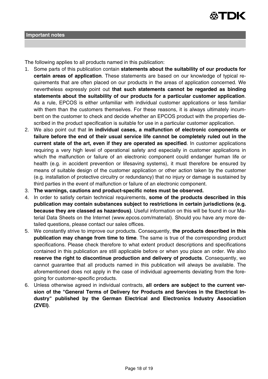

The following applies to all products named in this publication:

- 1. Some parts of this publication contain **statements about the suitability of our products for certain areas of application**. These statements are based on our knowledge of typical requirements that are often placed on our products in the areas of application concerned. We nevertheless expressly point out **that such statements cannot be regarded as binding statements about the suitability of our products for a particular customer application**. As a rule, EPCOS is either unfamiliar with individual customer applications or less familiar with them than the customers themselves. For these reasons, it is always ultimately incumbent on the customer to check and decide whether an EPCOS product with the properties described in the product specification is suitable for use in a particular customer application.
- 2. We also point out that **in individual cases, a malfunction of electronic components or failure before the end of their usual service life cannot be completely ruled out in the current state of the art, even if they are operated as specified**. In customer applications requiring a very high level of operational safety and especially in customer applications in which the malfunction or failure of an electronic component could endanger human life or health (e.g. in accident prevention or lifesaving systems), it must therefore be ensured by means of suitable design of the customer application or other action taken by the customer (e.g. installation of protective circuitry or redundancy) that no injury or damage is sustained by third parties in the event of malfunction or failure of an electronic component.
- 3. **The warnings, cautions and product-specific notes must be observed.**
- 4. In order to satisfy certain technical requirements, **some of the products described in this publication may contain substances subject to restrictions in certain jurisdictions (e.g. because they are classed as hazardous)**. Useful information on this will be found in our Material Data Sheets on the Internet (www.epcos.com/material). Should you have any more detailed questions, please contact our sales offices.
- 5. We constantly strive to improve our products. Consequently, **the products described in this publication may change from time to time**. The same is true of the corresponding product specifications. Please check therefore to what extent product descriptions and specifications contained in this publication are still applicable before or when you place an order. We also **reserve the right to discontinue production and delivery of products**. Consequently, we cannot guarantee that all products named in this publication will always be available. The aforementioned does not apply in the case of individual agreements deviating from the foregoing for customer-specific products.
- 6. Unless otherwise agreed in individual contracts, **all orders are subject to the current version of the "General Terms of Delivery for Products and Services in the Electrical Industry" published by the German Electrical and Electronics Industry Association (ZVEI)**.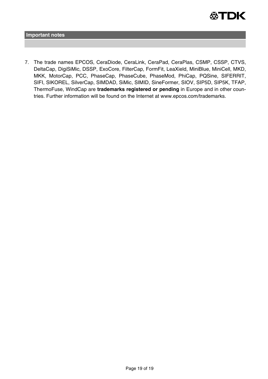

**Important notes**

7. The trade names EPCOS, CeraDiode, CeraLink, CeraPad, CeraPlas, CSMP, CSSP, CTVS, DeltaCap, DigiSiMic, DSSP, ExoCore, FilterCap, FormFit, LeaXield, MiniBlue, MiniCell, MKD, MKK, MotorCap, PCC, PhaseCap, PhaseCube, PhaseMod, PhiCap, PQSine, SIFERRIT, SIFI, SIKOREL, SilverCap, SIMDAD, SiMic, SIMID, SineFormer, SIOV, SIP5D, SIP5K, TFAP, ThermoFuse, WindCap are **trademarks registered or pending** in Europe and in other countries. Further information will be found on the Internet at www.epcos.com/trademarks.